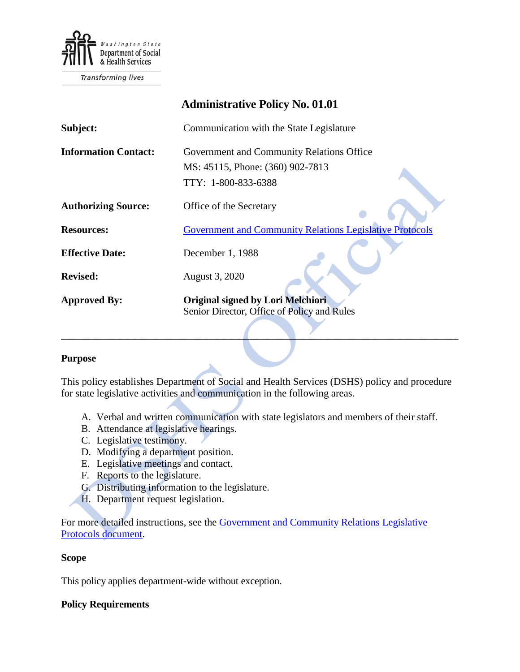

Transforming lives

# **Administrative Policy No. 01.01 Subject:** Communication with the State Legislature **Information Contact:** Government and Community Relations Office MS: 45115, Phone: (360) 902-7813 TTY: 1-800-833-6388 **Authorizing Source:** Office of the Secretary **Resources:** [Government and Community Relations Legislative Protocols](http://one.dshs.wa.lcl/per/GovernmentRelations/Protocols/Forms/AllItems.aspx) **Effective Date:** December 1, 1988 **Revised:** August 3, 2020 **Approved By: Original signed by Lori Melchiori** Senior Director, Office of Policy and Rules  $\mathcal{L} = \{ \mathcal{L} \mid \mathcal{L} = \{ \mathcal{L} \mid \mathcal{L} = \{ \mathcal{L} \mid \mathcal{L} = \{ \mathcal{L} \mid \mathcal{L} = \{ \mathcal{L} \mid \mathcal{L} = \{ \mathcal{L} \mid \mathcal{L} = \{ \mathcal{L} \mid \mathcal{L} = \{ \mathcal{L} \mid \mathcal{L} = \{ \mathcal{L} \mid \mathcal{L} = \{ \mathcal{L} \mid \mathcal{L} = \{ \mathcal{L} \mid \mathcal{L} = \{ \mathcal{L} \mid \mathcal{L} = \{ \mathcal{L} \$

## **Purpose**

This policy establishes Department of Social and Health Services (DSHS) policy and procedure for state legislative activities and communication in the following areas.

- A. Verbal and written communication with state legislators and members of their staff.
- B. Attendance at legislative hearings.
- C. Legislative testimony.
- D. Modifying a department position.
- E. Legislative meetings and contact.
- F. Reports to the legislature.
- G. Distributing information to the legislature.
- H. Department request legislation.

For more detailed instructions, see the [Government and Community Relations Legislative](http://one.dshs.wa.lcl/per/GovernmentRelations/Protocols/Forms/AllItems.aspx)  [Protocols document.](http://one.dshs.wa.lcl/per/GovernmentRelations/Protocols/Forms/AllItems.aspx)

#### **Scope**

This policy applies department-wide without exception.

## **Policy Requirements**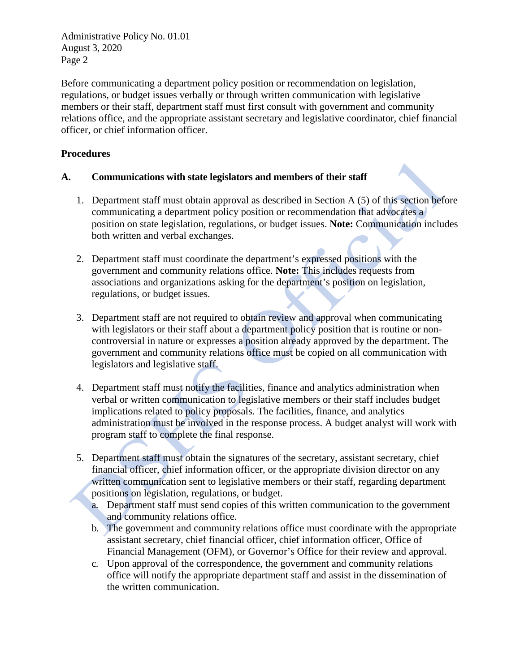Administrative Policy No. 01.01 August 3, 2020 Page 2

Before communicating a department policy position or recommendation on legislation, regulations, or budget issues verbally or through written communication with legislative members or their staff, department staff must first consult with government and community relations office, and the appropriate assistant secretary and legislative coordinator, chief financial officer, or chief information officer.

# **Procedures**

## **A. Communications with state legislators and members of their staff**

- 1. Department staff must obtain approval as described in Section A (5) of this section before communicating a department policy position or recommendation that advocates a position on state legislation, regulations, or budget issues. **Note:** Communication includes both written and verbal exchanges.
- 2. Department staff must coordinate the department's expressed positions with the government and community relations office. **Note:** This includes requests from associations and organizations asking for the department's position on legislation, regulations, or budget issues.
- 3. Department staff are not required to obtain review and approval when communicating with legislators or their staff about a department policy position that is routine or noncontroversial in nature or expresses a position already approved by the department. The government and community relations office must be copied on all communication with legislators and legislative staff.
- 4. Department staff must notify the facilities, finance and analytics administration when verbal or written communication to legislative members or their staff includes budget implications related to policy proposals. The facilities, finance, and analytics administration must be involved in the response process. A budget analyst will work with program staff to complete the final response.
- 5. Department staff must obtain the signatures of the secretary, assistant secretary, chief financial officer, chief information officer, or the appropriate division director on any written communication sent to legislative members or their staff, regarding department positions on legislation, regulations, or budget.
	- a. Department staff must send copies of this written communication to the government and community relations office.
	- b. The government and community relations office must coordinate with the appropriate assistant secretary, chief financial officer, chief information officer, Office of Financial Management (OFM), or Governor's Office for their review and approval.
	- c. Upon approval of the correspondence, the government and community relations office will notify the appropriate department staff and assist in the dissemination of the written communication.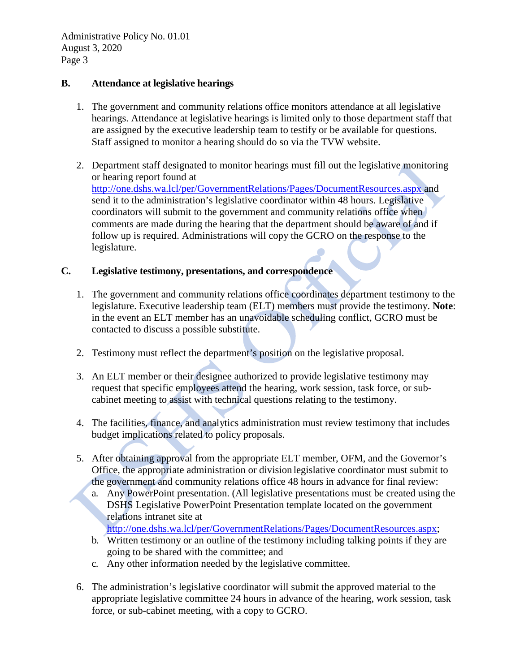Administrative Policy No. 01.01 August 3, 2020 Page 3

## **B. Attendance at legislative hearings**

- 1. The government and community relations office monitors attendance at all legislative hearings. Attendance at legislative hearings is limited only to those department staff that are assigned by the executive leadership team to testify or be available for questions. Staff assigned to monitor a hearing should do so via the TVW website.
- 2. Department staff designated to monitor hearings must fill out the legislative monitoring or hearing report found at [http://one.dshs.wa.lcl/per/GovernmentRelations/Pages/DocumentResources.aspx a](http://one.dshs.wa.lcl/per/GovernmentRelations/Pages/DocumentResources.aspx)nd send it to the administration's legislative coordinator within 48 hours. Legislative coordinators will submit to the government and community relations office when comments are made during the hearing that the department should be aware of and if follow up is required. Administrations will copy the GCRO on the response to the legislature.

## **C. Legislative testimony, presentations, and correspondence**

- 1. The government and community relations office coordinates department testimony to the legislature. Executive leadership team (ELT) members must provide the testimony. **Note**: in the event an ELT member has an unavoidable scheduling conflict, GCRO must be contacted to discuss a possible substitute.
- 2. Testimony must reflect the department's position on the legislative proposal.
- 3. An ELT member or their designee authorized to provide legislative testimony may request that specific employees attend the hearing, work session, task force, or subcabinet meeting to assist with technical questions relating to the testimony.
- 4. The facilities, finance, and analytics administration must review testimony that includes budget implications related to policy proposals.
- 5. After obtaining approval from the appropriate ELT member, OFM, and the Governor's Office, the appropriate administration or division legislative coordinator must submit to the government and community relations office 48 hours in advance for final review:
	- a. Any PowerPoint presentation. (All legislative presentations must be created using the DSHS Legislative PowerPoint Presentation template located on the government relations intranet site at

[http://one.dshs.wa.lcl/per/GovernmentRelations/Pages/DocumentResources.aspx;](http://one.dshs.wa.lcl/per/GovernmentRelations/Pages/DocumentResources.aspx)

- b. Written testimony or an outline of the testimony including talking points if they are going to be shared with the committee; and
- c. Any other information needed by the legislative committee.
- 6. The administration's legislative coordinator will submit the approved material to the appropriate legislative committee 24 hours in advance of the hearing, work session, task force, or sub-cabinet meeting, with a copy to GCRO.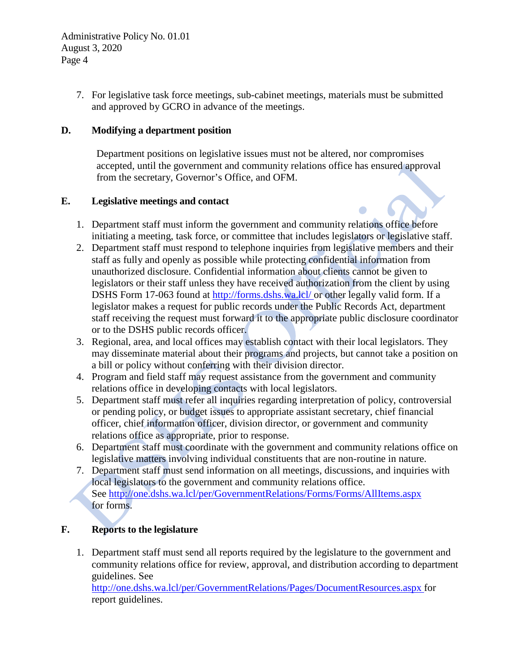7. For legislative task force meetings, sub-cabinet meetings, materials must be submitted and approved by GCRO in advance of the meetings.

# **D. Modifying a department position**

Department positions on legislative issues must not be altered, nor compromises accepted, until the government and community relations office has ensured approval from the secretary, Governor's Office, and OFM.

# **E. Legislative meetings and contact**

- 1. Department staff must inform the government and community relations office before initiating a meeting, task force, or committee that includes legislators or legislative staff.
- 2. Department staff must respond to telephone inquiries from legislative members and their staff as fully and openly as possible while protecting confidential information from unauthorized disclosure. Confidential information about clients cannot be given to legislators or their staff unless they have received authorization from the client by using DSHS Form 17-063 found at [http://forms.dshs.wa.lcl/ o](http://forms.dshs.wa.lcl/)r other legally valid form. If a legislator makes a request for public records under the Public Records Act, department staff receiving the request must forward it to the appropriate public disclosure coordinator or to the DSHS public records officer.
- 3. Regional, area, and local offices may establish contact with their local legislators. They may disseminate material about their programs and projects, but cannot take a position on a bill or policy without conferring with their division director.
- 4. Program and field staff may request assistance from the government and community relations office in developing contacts with local legislators.
- 5. Department staff must refer all inquiries regarding interpretation of policy, controversial or pending policy, or budget issues to appropriate assistant secretary, chief financial officer, chief information officer, division director, or government and community relations office as appropriate, prior to response.
- 6. Department staff must coordinate with the government and community relations office on legislative matters involving individual constituents that are non-routine in nature.
- 7. Department staff must send information on all meetings, discussions, and inquiries with local legislators to the government and community relations office. See<http://one.dshs.wa.lcl/per/GovernmentRelations/Forms/Forms/AllItems.aspx> for forms.

# **F. Reports to the legislature**

1. Department staff must send all reports required by the legislature to the government and community relations office for review, approval, and distribution according to department guidelines. See

[http://one.dshs.wa.lcl/per/GovernmentRelations/Pages/DocumentResources.aspx f](http://one.dshs.wa.lcl/per/GovernmentRelations/Pages/DocumentResources.aspx)or report guidelines.